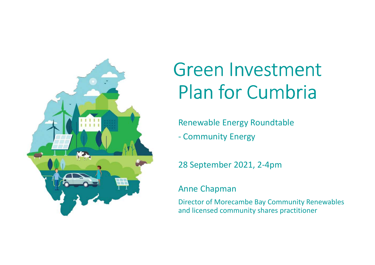

# Green Investment Plan for Cumbria

Renewable Energy Roundtable

- Community Energy

28 September 2021, 2-4pm

#### Anne Chapman

Director of Morecambe Bay Community Renewablesand licensed community shares practitioner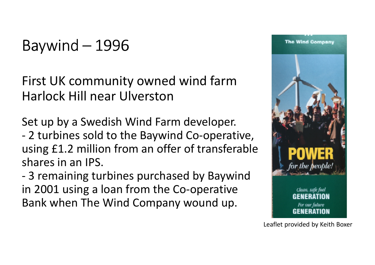Baywind – <sup>1996</sup>

First UK community owned wind farmHarlock Hill near Ulverston

Set up by a Swedish Wind Farm developer.

- 2 turbines sold to the Baywind Co-operative, using £1.2 million from an offer of transferable shares in an IPS.

- 3 remaining turbines purchased by Baywindin 2001 using a loan from the Co-operative Bank when The Wind Company wound up.



Leaflet provided by Keith Boxer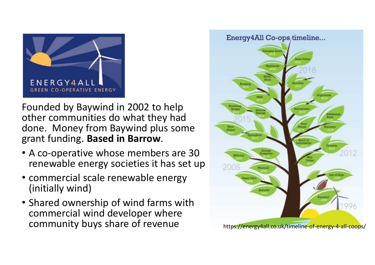

Founded by Baywind in 2002 to help other communities do what they had done. Money from Baywind plus some grant funding. **Based in Barrow**.

- A co-operative whose members are 30 renewable energy societies it has set up
- commercial scale renewable energy (initially wind)
- Shared ownership of wind farms with commercial wind developer where community buys share of revenue

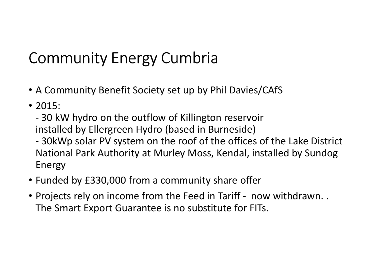# Community Energy Cumbria

- A Community Benefit Society set up by Phil Davies/CAfS
- 2015:
	- 30 kW hydro on the outflow of Killington reservoir installed by Ellergreen Hydro (based in Burneside)
	- 30kWp solar PV system on the roof of the offices of the Lake District National Park Authority at Murley Moss, Kendal, installed by Sundog Energy
- Funded by £330,000 from a community share offer
- Projects rely on income from the Feed in Tariff now withdrawn.. The Smart Export Guarantee is no substitute for FITs.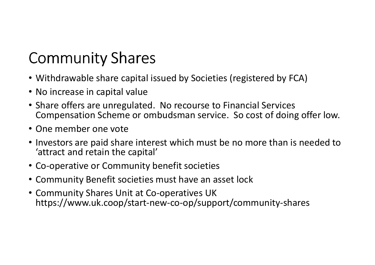### Community Shares

- Withdrawable share capital issued by Societies (registered by FCA)
- No increase in capital value
- Share offers are unregulated. No recourse to Financial Services Compensation Scheme or ombudsman service. So cost of doing offer low.
- One member one vote
- Investors are paid share interest which must be no more than is needed to 'attract and retain the capital'
- Co-operative or Community benefit societies
- Community Benefit societies must have an asset lock
- Community Shares Unit at Co-operatives UKhttps://www.uk.coop/start-new-co-op/support/community-shares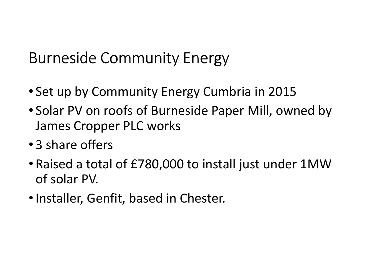### Burneside Community Energy

- Set up by Community Energy Cumbria in 2015
- Solar PV on roofs of Burneside Paper Mill, owned by James Cropper PLC works
- 3 share offers
- Raised a total of £780,000 to install just under 1MW of solar PV.
- •Installer, Genfit, based in Chester.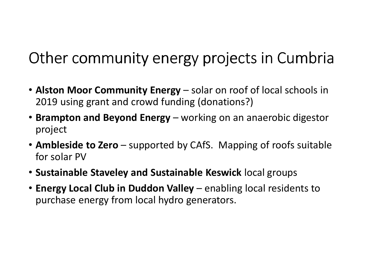### Other community energy projects in Cumbria

- **Alston Moor Community Energy**  solar on roof of local schools in 2019 using grant and crowd funding (donations?)
- **Brampton and Beyond Energy**  working on an anaerobic digestor project
- **Ambleside to Zero**  supported by CAfS. Mapping of roofs suitable for solar PV
- **Sustainable Staveley and Sustainable Keswick** local groups
- **Energy Local Club in Duddon Valley**  enabling local residents to purchase energy from local hydro generators.